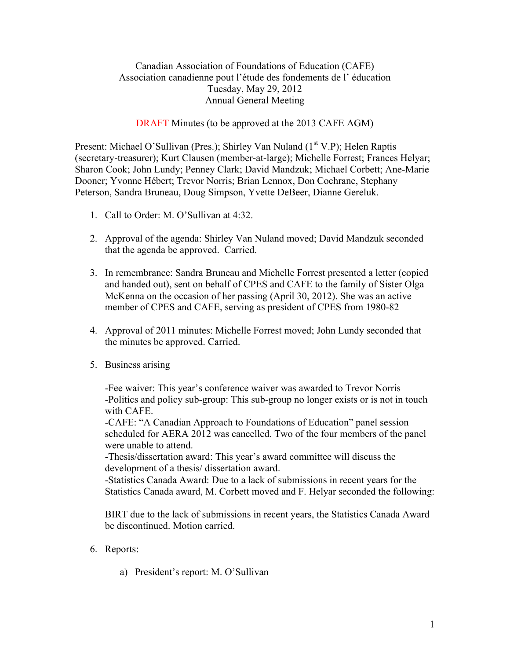## Canadian Association of Foundations of Education (CAFE) Association canadienne pout l'étude des fondements de l' éducation Tuesday, May 29, 2012 Annual General Meeting

DRAFT Minutes (to be approved at the 2013 CAFE AGM)

Present: Michael O'Sullivan (Pres.); Shirley Van Nuland  $(1<sup>st</sup> V.P)$ ; Helen Raptis (secretary-treasurer); Kurt Clausen (member-at-large); Michelle Forrest; Frances Helyar; Sharon Cook; John Lundy; Penney Clark; David Mandzuk; Michael Corbett; Ane-Marie Dooner; Yvonne Hébert; Trevor Norris; Brian Lennox, Don Cochrane, Stephany Peterson, Sandra Bruneau, Doug Simpson, Yvette DeBeer, Dianne Gereluk.

- 1. Call to Order: M. O'Sullivan at 4:32.
- 2. Approval of the agenda: Shirley Van Nuland moved; David Mandzuk seconded that the agenda be approved. Carried.
- 3. In remembrance: Sandra Bruneau and Michelle Forrest presented a letter (copied and handed out), sent on behalf of CPES and CAFE to the family of Sister Olga McKenna on the occasion of her passing (April 30, 2012). She was an active member of CPES and CAFE, serving as president of CPES from 1980-82
- 4. Approval of 2011 minutes: Michelle Forrest moved; John Lundy seconded that the minutes be approved. Carried.
- 5. Business arising

-Fee waiver: This year's conference waiver was awarded to Trevor Norris -Politics and policy sub-group: This sub-group no longer exists or is not in touch with CAFE.

-CAFE: "A Canadian Approach to Foundations of Education" panel session scheduled for AERA 2012 was cancelled. Two of the four members of the panel were unable to attend.

-Thesis/dissertation award: This year's award committee will discuss the development of a thesis/ dissertation award.

-Statistics Canada Award: Due to a lack of submissions in recent years for the Statistics Canada award, M. Corbett moved and F. Helyar seconded the following:

BIRT due to the lack of submissions in recent years, the Statistics Canada Award be discontinued. Motion carried.

- 6. Reports:
	- a) President's report: M. O'Sullivan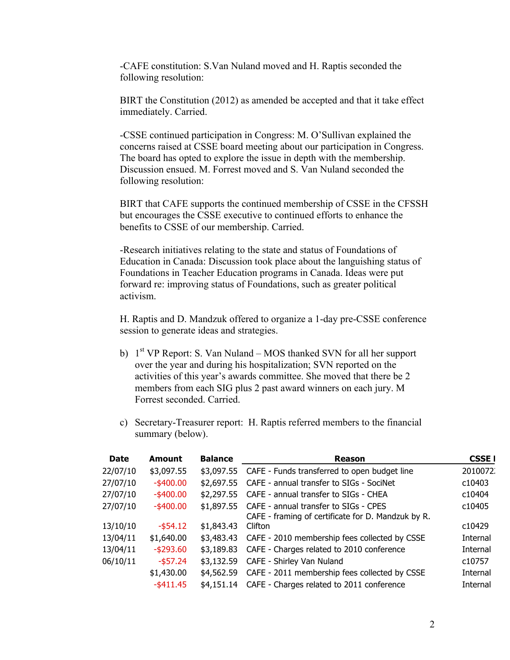-CAFE constitution: S.Van Nuland moved and H. Raptis seconded the following resolution:

BIRT the Constitution (2012) as amended be accepted and that it take effect immediately. Carried.

-CSSE continued participation in Congress: M. O'Sullivan explained the concerns raised at CSSE board meeting about our participation in Congress. The board has opted to explore the issue in depth with the membership. Discussion ensued. M. Forrest moved and S. Van Nuland seconded the following resolution:

BIRT that CAFE supports the continued membership of CSSE in the CFSSH but encourages the CSSE executive to continued efforts to enhance the benefits to CSSE of our membership. Carried.

-Research initiatives relating to the state and status of Foundations of Education in Canada: Discussion took place about the languishing status of Foundations in Teacher Education programs in Canada. Ideas were put forward re: improving status of Foundations, such as greater political activism.

H. Raptis and D. Mandzuk offered to organize a 1-day pre-CSSE conference session to generate ideas and strategies.

- b)  $1<sup>st</sup> VP Report: S. Van Nuland MOSthanked SVM for all her support$ over the year and during his hospitalization; SVN reported on the activities of this year's awards committee. She moved that there be 2 members from each SIG plus 2 past award winners on each jury. M Forrest seconded. Carried.
- c) Secretary-Treasurer report: H. Raptis referred members to the financial summary (below).

| <b>Date</b> | Amount       | <b>Balance</b> | Reason                                             | <b>CSSE</b> I |
|-------------|--------------|----------------|----------------------------------------------------|---------------|
| 22/07/10    | \$3,097.55   | \$3,097.55     | CAFE - Funds transferred to open budget line       | 2010072       |
| 27/07/10    | $-$ \$400.00 | \$2,697.55     | CAFE - annual transfer to SIGs - SociNet           | c10403        |
| 27/07/10    | $-$ \$400.00 | \$2,297.55     | CAFE - annual transfer to SIGs - CHEA              | c10404        |
| 27/07/10    | $-$ \$400.00 | \$1,897.55     | CAFE - annual transfer to SIGs - CPES              | c10405        |
|             |              |                | CAFE - framing of certificate for D. Mandzuk by R. |               |
| 13/10/10    | $-$ \$54.12  | \$1,843.43     | Clifton                                            | c10429        |
| 13/04/11    | \$1,640.00   | \$3,483.43     | CAFE - 2010 membership fees collected by CSSE      | Internal      |
| 13/04/11    | $-$ \$293.60 | \$3,189.83     | CAFE - Charges related to 2010 conference          | Internal      |
| 06/10/11    | $-$ \$57.24  | \$3,132.59     | CAFE - Shirley Van Nuland                          | c10757        |
|             | \$1,430.00   | \$4,562.59     | CAFE - 2011 membership fees collected by CSSE      | Internal      |
|             | $-$ \$411.45 | \$4.151.14     | CAFE - Charges related to 2011 conference          | Internal      |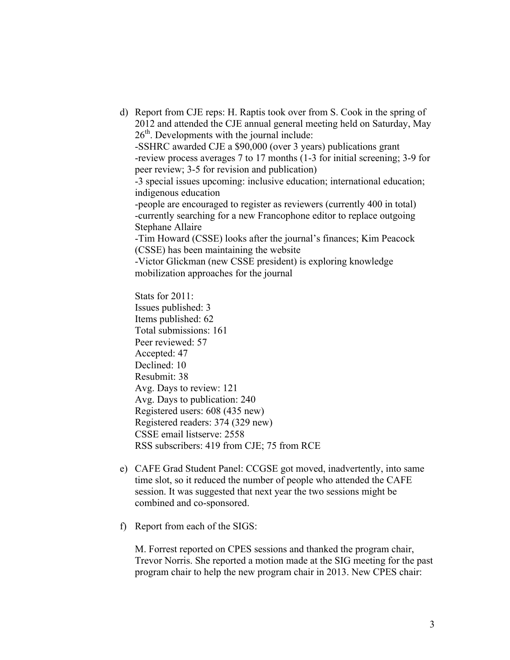d) Report from CJE reps: H. Raptis took over from S. Cook in the spring of 2012 and attended the CJE annual general meeting held on Saturday, May  $26<sup>th</sup>$ . Developments with the journal include: -SSHRC awarded CJE a \$90,000 (over 3 years) publications grant -review process averages 7 to 17 months (1-3 for initial screening; 3-9 for peer review; 3-5 for revision and publication) -3 special issues upcoming: inclusive education; international education; indigenous education -people are encouraged to register as reviewers (currently 400 in total) -currently searching for a new Francophone editor to replace outgoing Stephane Allaire -Tim Howard (CSSE) looks after the journal's finances; Kim Peacock (CSSE) has been maintaining the website -Victor Glickman (new CSSE president) is exploring knowledge mobilization approaches for the journal Stats for 2011: Issues published: 3 Items published: 62 Total submissions: 161 Peer reviewed: 57 Accepted: 47 Declined: 10 Resubmit: 38

Avg. Days to review: 121 Avg. Days to publication: 240 Registered users: 608 (435 new) Registered readers: 374 (329 new) CSSE email listserve: 2558 RSS subscribers: 419 from CJE; 75 from RCE

- e) CAFE Grad Student Panel: CCGSE got moved, inadvertently, into same time slot, so it reduced the number of people who attended the CAFE session. It was suggested that next year the two sessions might be combined and co-sponsored.
- f) Report from each of the SIGS:

M. Forrest reported on CPES sessions and thanked the program chair, Trevor Norris. She reported a motion made at the SIG meeting for the past program chair to help the new program chair in 2013. New CPES chair: